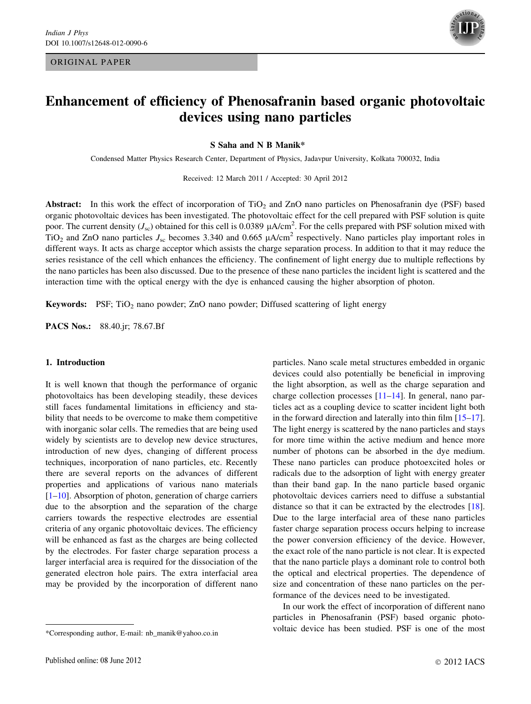## ORIGINAL PAPER



# Enhancement of efficiency of Phenosafranin based organic photovoltaic devices using nano particles

S Saha and N B Manik\*

Condensed Matter Physics Research Center, Department of Physics, Jadavpur University, Kolkata 700032, India

Received: 12 March 2011 / Accepted: 30 April 2012

Abstract: In this work the effect of incorporation of TiO<sub>2</sub> and ZnO nano particles on Phenosafranin dye (PSF) based organic photovoltaic devices has been investigated. The photovoltaic effect for the cell prepared with PSF solution is quite poor. The current density ( $J_{\rm sc}$ ) obtained for this cell is 0.0389  $\mu$ A/cm<sup>2</sup>. For the cells prepared with PSF solution mixed with TiO<sub>2</sub> and ZnO nano particles  $J_{\rm sc}$  becomes 3.340 and 0.665  $\mu$ A/cm<sup>2</sup> respectively. Nano particles play important roles in different ways. It acts as charge acceptor which assists the charge separation process. In addition to that it may reduce the series resistance of the cell which enhances the efficiency. The confinement of light energy due to multiple reflections by the nano particles has been also discussed. Due to the presence of these nano particles the incident light is scattered and the interaction time with the optical energy with the dye is enhanced causing the higher absorption of photon.

**Keywords:** PSF;  $TiO<sub>2</sub>$  nano powder; ZnO nano powder; Diffused scattering of light energy

PACS Nos.: 88.40.jr; 78.67.Bf

# 1. Introduction

It is well known that though the performance of organic photovoltaics has been developing steadily, these devices still faces fundamental limitations in efficiency and stability that needs to be overcome to make them competitive with inorganic solar cells. The remedies that are being used widely by scientists are to develop new device structures, introduction of new dyes, changing of different process techniques, incorporation of nano particles, etc. Recently there are several reports on the advances of different properties and applications of various nano materials [\[1–10](#page-6-0)]. Absorption of photon, generation of charge carriers due to the absorption and the separation of the charge carriers towards the respective electrodes are essential criteria of any organic photovoltaic devices. The efficiency will be enhanced as fast as the charges are being collected by the electrodes. For faster charge separation process a larger interfacial area is required for the dissociation of the generated electron hole pairs. The extra interfacial area may be provided by the incorporation of different nano

particles. Nano scale metal structures embedded in organic devices could also potentially be beneficial in improving the light absorption, as well as the charge separation and charge collection processes [\[11–14](#page-6-0)]. In general, nano particles act as a coupling device to scatter incident light both in the forward direction and laterally into thin film [\[15–17](#page-6-0)]. The light energy is scattered by the nano particles and stays for more time within the active medium and hence more number of photons can be absorbed in the dye medium. These nano particles can produce photoexcited holes or radicals due to the adsorption of light with energy greater than their band gap. In the nano particle based organic photovoltaic devices carriers need to diffuse a substantial distance so that it can be extracted by the electrodes [\[18](#page-6-0)]. Due to the large interfacial area of these nano particles faster charge separation process occurs helping to increase the power conversion efficiency of the device. However, the exact role of the nano particle is not clear. It is expected that the nano particle plays a dominant role to control both the optical and electrical properties. The dependence of size and concentration of these nano particles on the performance of the devices need to be investigated.

In our work the effect of incorporation of different nano particles in Phenosafranin (PSF) based organic photovoltaic device has been studied. PSF is one of the most

<sup>\*</sup>Corresponding author, E-mail: nb\_manik@yahoo.co.in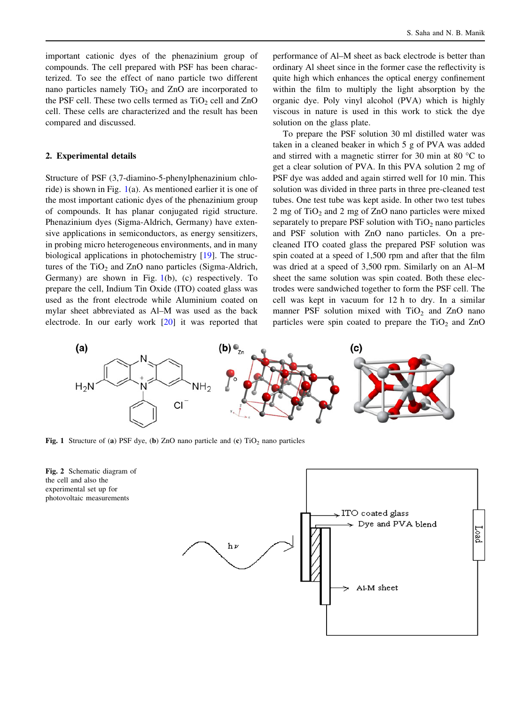<span id="page-1-0"></span>important cationic dyes of the phenazinium group of compounds. The cell prepared with PSF has been characterized. To see the effect of nano particle two different nano particles namely  $TiO<sub>2</sub>$  and  $ZnO$  are incorporated to the PSF cell. These two cells termed as  $TiO<sub>2</sub>$  cell and  $ZnO$ cell. These cells are characterized and the result has been compared and discussed.

# 2. Experimental details

Structure of PSF (3,7-diamino-5-phenylphenazinium chloride) is shown in Fig. 1(a). As mentioned earlier it is one of the most important cationic dyes of the phenazinium group of compounds. It has planar conjugated rigid structure. Phenazinium dyes (Sigma-Aldrich, Germany) have extensive applications in semiconductors, as energy sensitizers, in probing micro heterogeneous environments, and in many biological applications in photochemistry [[19\]](#page-6-0). The structures of the  $TiO<sub>2</sub>$  and  $ZnO$  nano particles (Sigma-Aldrich, Germany) are shown in Fig.  $1(b)$ , (c) respectively. To prepare the cell, Indium Tin Oxide (ITO) coated glass was used as the front electrode while Aluminium coated on mylar sheet abbreviated as Al–M was used as the back electrode. In our early work [[20\]](#page-6-0) it was reported that performance of Al–M sheet as back electrode is better than ordinary Al sheet since in the former case the reflectivity is quite high which enhances the optical energy confinement within the film to multiply the light absorption by the organic dye. Poly vinyl alcohol (PVA) which is highly viscous in nature is used in this work to stick the dye solution on the glass plate.

To prepare the PSF solution 30 ml distilled water was taken in a cleaned beaker in which 5 g of PVA was added and stirred with a magnetic stirrer for 30 min at 80  $^{\circ}$ C to get a clear solution of PVA. In this PVA solution 2 mg of PSF dye was added and again stirred well for 10 min. This solution was divided in three parts in three pre-cleaned test tubes. One test tube was kept aside. In other two test tubes 2 mg of  $TiO<sub>2</sub>$  and 2 mg of ZnO nano particles were mixed separately to prepare PSF solution with  $TiO<sub>2</sub>$  nano particles and PSF solution with ZnO nano particles. On a precleaned ITO coated glass the prepared PSF solution was spin coated at a speed of 1,500 rpm and after that the film was dried at a speed of 3,500 rpm. Similarly on an Al–M sheet the same solution was spin coated. Both these electrodes were sandwiched together to form the PSF cell. The cell was kept in vacuum for 12 h to dry. In a similar manner PSF solution mixed with  $TiO<sub>2</sub>$  and ZnO nano particles were spin coated to prepare the  $TiO<sub>2</sub>$  and  $ZnO$ 



Fig. 1 Structure of (a) PSF dye, (b) ZnO nano particle and (c)  $TiO<sub>2</sub>$  nano particles



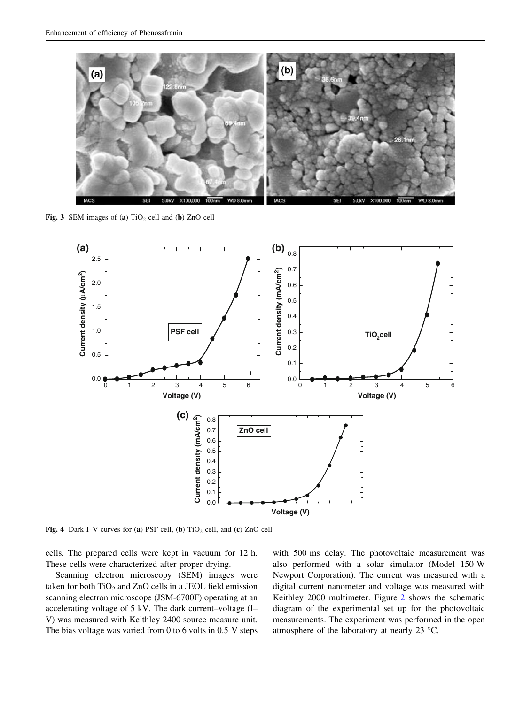<span id="page-2-0"></span>

Fig. 3 SEM images of (a)  $TiO<sub>2</sub>$  cell and (b) ZnO cell



Fig. 4 Dark I–V curves for (a) PSF cell, (b)  $TiO<sub>2</sub>$  cell, and (c) ZnO cell

cells. The prepared cells were kept in vacuum for 12 h. These cells were characterized after proper drying.

Scanning electron microscopy (SEM) images were taken for both  $TiO<sub>2</sub>$  and  $ZnO$  cells in a JEOL field emission scanning electron microscope (JSM-6700F) operating at an accelerating voltage of 5 kV. The dark current–voltage (I– V) was measured with Keithley 2400 source measure unit. The bias voltage was varied from 0 to 6 volts in 0.5 V steps with 500 ms delay. The photovoltaic measurement was also performed with a solar simulator (Model 150 W Newport Corporation). The current was measured with a digital current nanometer and voltage was measured with Keithley 2000 multimeter. Figure [2](#page-1-0) shows the schematic diagram of the experimental set up for the photovoltaic measurements. The experiment was performed in the open atmosphere of the laboratory at nearly 23 °C.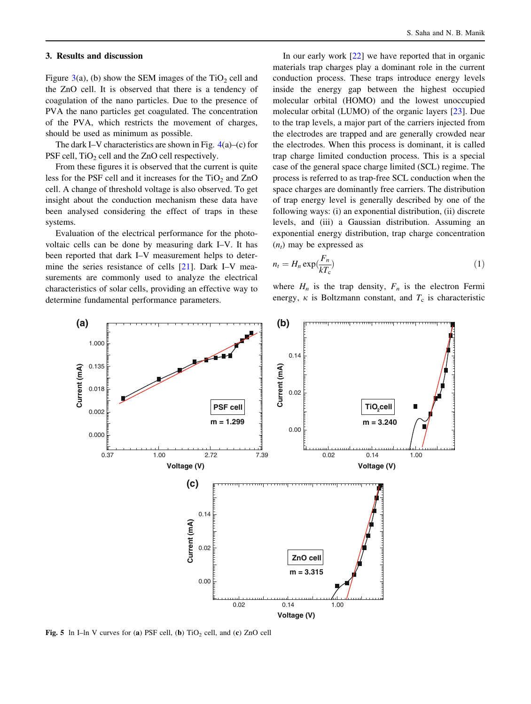#### <span id="page-3-0"></span>3. Results and discussion

Figure [3](#page-2-0)(a), (b) show the SEM images of the  $TiO<sub>2</sub>$  cell and the ZnO cell. It is observed that there is a tendency of coagulation of the nano particles. Due to the presence of PVA the nano particles get coagulated. The concentration of the PVA, which restricts the movement of charges, should be used as minimum as possible.

The dark I–V characteristics are shown in Fig. [4](#page-2-0)(a)–(c) for PSF cell,  $TiO<sub>2</sub>$  cell and the ZnO cell respectively.

From these figures it is observed that the current is quite less for the PSF cell and it increases for the  $TiO<sub>2</sub>$  and  $ZnO$ cell. A change of threshold voltage is also observed. To get insight about the conduction mechanism these data have been analysed considering the effect of traps in these systems.

Evaluation of the electrical performance for the photovoltaic cells can be done by measuring dark I–V. It has been reported that dark I–V measurement helps to determine the series resistance of cells [[21\]](#page-6-0). Dark I–V measurements are commonly used to analyze the electrical characteristics of solar cells, providing an effective way to determine fundamental performance parameters.

In our early work [\[22](#page-6-0)] we have reported that in organic materials trap charges play a dominant role in the current conduction process. These traps introduce energy levels inside the energy gap between the highest occupied molecular orbital (HOMO) and the lowest unoccupied molecular orbital (LUMO) of the organic layers [[23\]](#page-6-0). Due to the trap levels, a major part of the carriers injected from the electrodes are trapped and are generally crowded near the electrodes. When this process is dominant, it is called trap charge limited conduction process. This is a special case of the general space charge limited (SCL) regime. The process is referred to as trap-free SCL conduction when the space charges are dominantly free carriers. The distribution of trap energy level is generally described by one of the following ways: (i) an exponential distribution, (ii) discrete levels, and (iii) a Gaussian distribution. Assuming an exponential energy distribution, trap charge concentration  $(n_t)$  may be expressed as

$$
n_t = H_n \exp(\frac{F_n}{kT_c})
$$
\n<sup>(1)</sup>

where  $H_n$  is the trap density,  $F_n$  is the electron Fermi energy,  $\kappa$  is Boltzmann constant, and  $T_c$  is characteristic



Fig. 5 ln I–ln V curves for (a) PSF cell, (b)  $TiO<sub>2</sub>$  cell, and (c) ZnO cell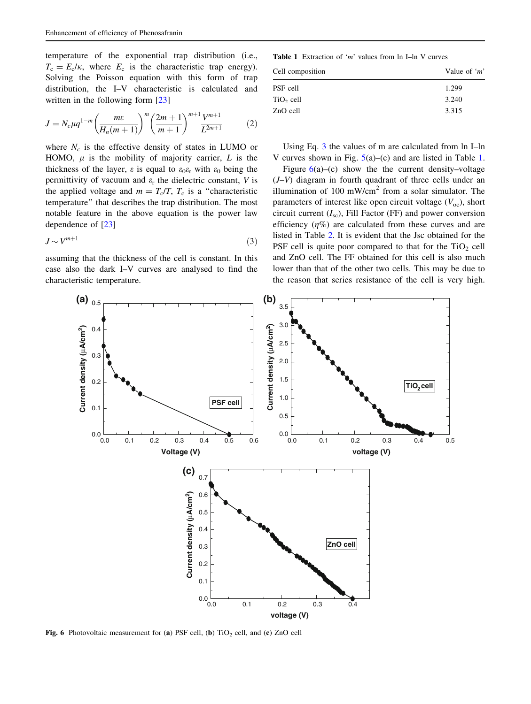temperature of the exponential trap distribution (i.e.,  $T_c = E_c/\kappa$ , where  $E_c$  is the characteristic trap energy). Solving the Poisson equation with this form of trap distribution, the I–V characteristic is calculated and written in the following form [[23\]](#page-6-0)

$$
J = N_c \mu q^{1-m} \left( \frac{m\varepsilon}{H_n(m+1)} \right)^m \left( \frac{2m+1}{m+1} \right)^{m+1} \frac{V^{m+1}}{L^{2m+1}} \tag{2}
$$

where  $N_c$  is the effective density of states in LUMO or HOMO,  $\mu$  is the mobility of majority carrier, L is the thickness of the layer,  $\varepsilon$  is equal to  $\varepsilon_0 \varepsilon_r$  with  $\varepsilon_0$  being the permittivity of vacuum and  $\varepsilon_r$  the dielectric constant, V is the applied voltage and  $m = T_c/T$ ,  $T_c$  is a "characteristic temperature'' that describes the trap distribution. The most notable feature in the above equation is the power law dependence of [[23\]](#page-6-0)

$$
J \sim V^{m+1} \tag{3}
$$

assuming that the thickness of the cell is constant. In this case also the dark I–V curves are analysed to find the characteristic temperature.

**Table 1** Extraction of 'm' values from  $\ln$  I–ln V curves

| Cell composition | Value of ' $m$ ' |  |
|------------------|------------------|--|
| PSF cell         | 1.299            |  |
| $TiO2$ cell      | 3.240            |  |
| ZnO cell         | 3.315            |  |

Using Eq. 3 the values of m are calculated from ln I–ln V curves shown in Fig. [5\(](#page-3-0)a)–(c) and are listed in Table 1.

Figure  $6(a)$ –(c) show the the current density–voltage  $(J-V)$  diagram in fourth quadrant of three cells under an illumination of 100 mW/cm<sup>2</sup> from a solar simulator. The parameters of interest like open circuit voltage  $(V<sub>oc</sub>)$ , short circuit current  $(I_{\rm sc})$ , Fill Factor (FF) and power conversion efficiency  $(\eta\%)$  are calculated from these curves and are listed in Table [2](#page-5-0). It is evident that the Jsc obtained for the PSF cell is quite poor compared to that for the  $TiO<sub>2</sub>$  cell and ZnO cell. The FF obtained for this cell is also much lower than that of the other two cells. This may be due to the reason that series resistance of the cell is very high.



Fig. 6 Photovoltaic measurement for (a) PSF cell, (b)  $TiO<sub>2</sub>$  cell, and (c) ZnO cell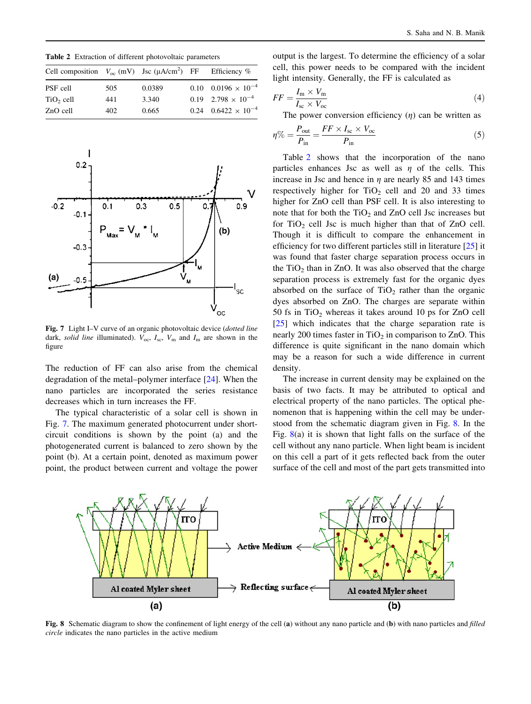<span id="page-5-0"></span>Table 2 Extraction of different photovoltaic parameters

| Cell composition $V_{\text{oc}}$ (mV) Jsc ( $\mu A/cm^2$ ) FF Efficiency % |     |        |                                |
|----------------------------------------------------------------------------|-----|--------|--------------------------------|
| PSF cell                                                                   | 505 | 0.0389 | $0.10$ $0.0196 \times 10^{-4}$ |
| $TiO2$ cell                                                                | 441 | 3.340  | $0.19$ $2.798 \times 10^{-4}$  |
| ZnO cell                                                                   | 402 | 0.665  | $0.24$ $0.6422 \times 10^{-4}$ |



Fig. 7 Light I–V curve of an organic photovoltaic device (*dotted line* dark, solid line illuminated).  $V_{\text{oc}}$ ,  $I_{\text{sc}}$ ,  $V_{\text{m}}$  and  $I_{\text{m}}$  are shown in the figure

The reduction of FF can also arise from the chemical degradation of the metal–polymer interface [[24\]](#page-6-0). When the nano particles are incorporated the series resistance decreases which in turn increases the FF.

The typical characteristic of a solar cell is shown in Fig. 7. The maximum generated photocurrent under shortcircuit conditions is shown by the point (a) and the photogenerated current is balanced to zero shown by the point (b). At a certain point, denoted as maximum power point, the product between current and voltage the power output is the largest. To determine the efficiency of a solar cell, this power needs to be compared with the incident light intensity. Generally, the FF is calculated as

$$
FF = \frac{I_{\rm m} \times V_{\rm m}}{I_{\rm sc} \times V_{\rm oc}}\tag{4}
$$

The power conversion efficiency  $(\eta)$  can be written as

$$
\eta\% = \frac{P_{\text{out}}}{P_{\text{in}}} = \frac{FF \times I_{\text{sc}} \times V_{\text{oc}}}{P_{\text{in}}} \tag{5}
$$

Table 2 shows that the incorporation of the nano particles enhances Jsc as well as  $\eta$  of the cells. This increase in Jsc and hence in  $\eta$  are nearly 85 and 143 times respectively higher for  $TiO<sub>2</sub>$  cell and 20 and 33 times higher for ZnO cell than PSF cell. It is also interesting to note that for both the  $TiO<sub>2</sub>$  and  $ZnO$  cell Jsc increases but for  $TiO<sub>2</sub>$  cell Jsc is much higher than that of ZnO cell. Though it is difficult to compare the enhancement in efficiency for two different particles still in literature [[25\]](#page-6-0) it was found that faster charge separation process occurs in the  $TiO<sub>2</sub>$  than in ZnO. It was also observed that the charge separation process is extremely fast for the organic dyes absorbed on the surface of  $TiO<sub>2</sub>$  rather than the organic dyes absorbed on ZnO. The charges are separate within 50 fs in  $TiO<sub>2</sub>$  whereas it takes around 10 ps for ZnO cell [\[25](#page-6-0)] which indicates that the charge separation rate is nearly 200 times faster in  $TiO<sub>2</sub>$  in comparison to ZnO. This difference is quite significant in the nano domain which may be a reason for such a wide difference in current density.

The increase in current density may be explained on the basis of two facts. It may be attributed to optical and electrical property of the nano particles. The optical phenomenon that is happening within the cell may be understood from the schematic diagram given in Fig. 8. In the Fig.  $8(a)$  it is shown that light falls on the surface of the cell without any nano particle. When light beam is incident on this cell a part of it gets reflected back from the outer surface of the cell and most of the part gets transmitted into



Fig. 8 Schematic diagram to show the confinement of light energy of the cell (a) without any nano particle and (b) with nano particles and filled circle indicates the nano particles in the active medium